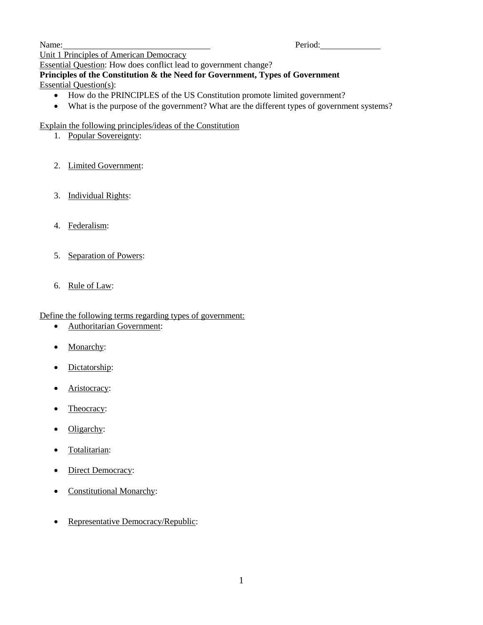Name: Period:

Unit 1 Principles of American Democracy

Essential Question: How does conflict lead to government change?

**Principles of the Constitution & the Need for Government, Types of Government** Essential Question(s):

- How do the PRINCIPLES of the US Constitution promote limited government?
- What is the purpose of the government? What are the different types of government systems?

# Explain the following principles/ideas of the Constitution

- 1. Popular Sovereignty:
- 2. Limited Government:
- 3. Individual Rights:
- 4. Federalism:
- 5. Separation of Powers:
- 6. Rule of Law:

Define the following terms regarding types of government:

- Authoritarian Government:
- Monarchy:
- Dictatorship:
- Aristocracy:
- Theocracy:
- Oligarchy:
- Totalitarian:
- Direct Democracy:
- Constitutional Monarchy:
- Representative Democracy/Republic: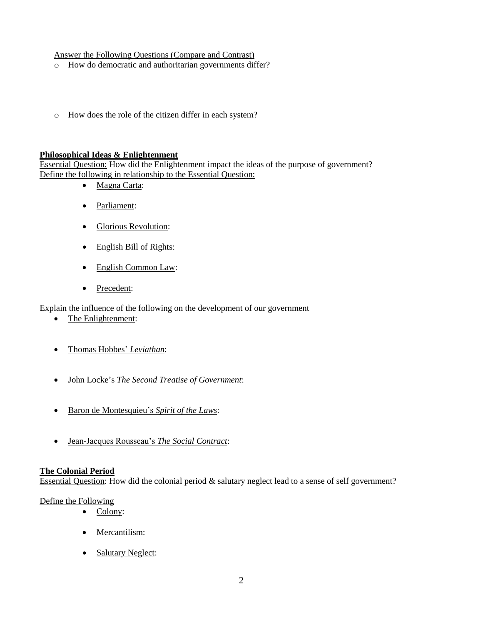### Answer the Following Questions (Compare and Contrast)

- o How do democratic and authoritarian governments differ?
- o How does the role of the citizen differ in each system?

#### **Philosophical Ideas & Enlightenment**

Essential Question: How did the Enlightenment impact the ideas of the purpose of government? Define the following in relationship to the Essential Question:

- Magna Carta:
- Parliament:
- Glorious Revolution:
- English Bill of Rights:
- English Common Law:
- Precedent:

Explain the influence of the following on the development of our government

- The Enlightenment:
- Thomas Hobbes' *Leviathan*:
- John Locke's *The Second Treatise of Government*:
- Baron de Montesquieu's *Spirit of the Laws*:
- Jean-Jacques Rousseau's *The Social Contract*:

### **The Colonial Period**

Essential Question: How did the colonial period & salutary neglect lead to a sense of self government?

Define the Following

- Colony:
- Mercantilism:
- Salutary Neglect: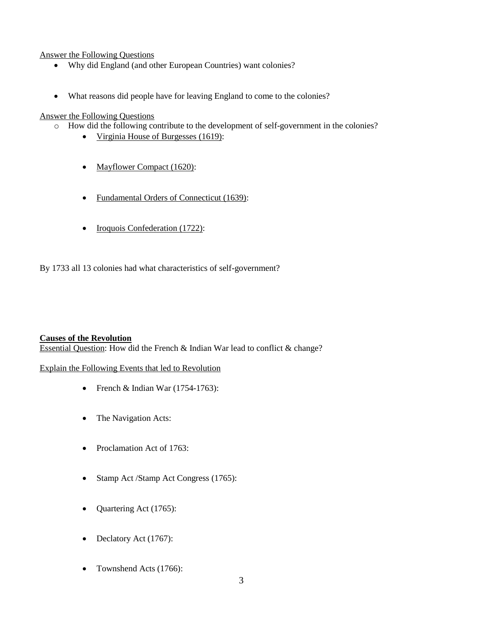# Answer the Following Questions

- Why did England (and other European Countries) want colonies?
- What reasons did people have for leaving England to come to the colonies?

# Answer the Following Questions

- o How did the following contribute to the development of self-government in the colonies?
	- Virginia House of Burgesses (1619):
	- Mayflower Compact (1620):
	- Fundamental Orders of Connecticut (1639):
	- Iroquois Confederation (1722):

By 1733 all 13 colonies had what characteristics of self-government?

### **Causes of the Revolution**

Essential Question: How did the French & Indian War lead to conflict & change?

### Explain the Following Events that led to Revolution

- French & Indian War  $(1754-1763)$ :
- The Navigation Acts:
- Proclamation Act of 1763:
- Stamp Act /Stamp Act Congress (1765):
- Quartering Act (1765):
- Declatory Act (1767):
- Townshend Acts (1766):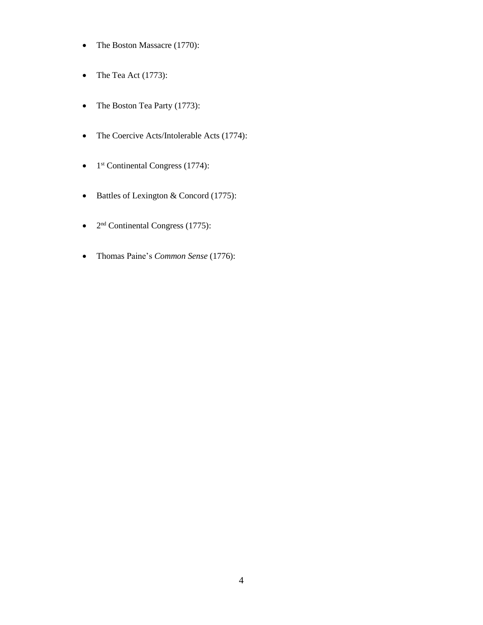- The Boston Massacre (1770):
- The Tea Act  $(1773)$ :
- The Boston Tea Party (1773):
- The Coercive Acts/Intolerable Acts (1774):
- $\bullet$  1<sup>st</sup> Continental Congress (1774):
- Battles of Lexington & Concord (1775):
- $2<sup>nd</sup>$  Continental Congress (1775):
- Thomas Paine's *Common Sense* (1776):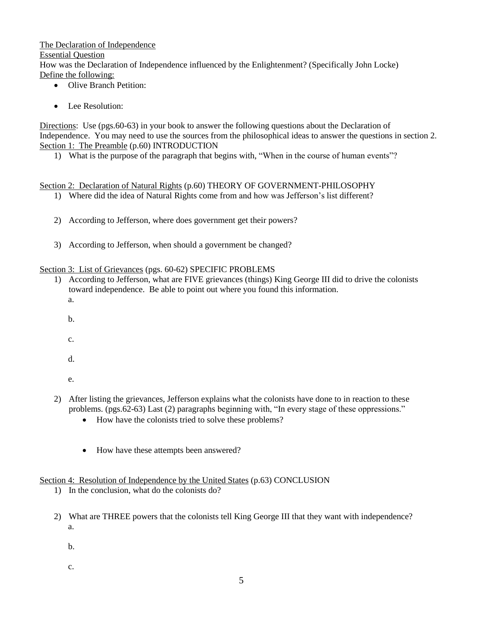The Declaration of Independence Essential Question How was the Declaration of Independence influenced by the Enlightenment? (Specifically John Locke) Define the following:

- Olive Branch Petition:
- Lee Resolution:

Directions: Use (pgs.60-63) in your book to answer the following questions about the Declaration of Independence. You may need to use the sources from the philosophical ideas to answer the questions in section 2. Section 1: The Preamble (p.60) INTRODUCTION

1) What is the purpose of the paragraph that begins with, "When in the course of human events"?

Section 2: Declaration of Natural Rights (p.60) THEORY OF GOVERNMENT-PHILOSOPHY

- 1) Where did the idea of Natural Rights come from and how was Jefferson's list different?
- 2) According to Jefferson, where does government get their powers?
- 3) According to Jefferson, when should a government be changed?

### Section 3: List of Grievances (pgs. 60-62) SPECIFIC PROBLEMS

- 1) According to Jefferson, what are FIVE grievances (things) King George III did to drive the colonists toward independence. Be able to point out where you found this information. a.
	- b.
	- c.
	- d.
	- e.
- 2) After listing the grievances, Jefferson explains what the colonists have done to in reaction to these problems. (pgs.62-63) Last (2) paragraphs beginning with, "In every stage of these oppressions."
	- How have the colonists tried to solve these problems?
	- How have these attempts been answered?

### Section 4: Resolution of Independence by the United States (p.63) CONCLUSION

- 1) In the conclusion, what do the colonists do?
- 2) What are THREE powers that the colonists tell King George III that they want with independence? a.
	- b.
	- c.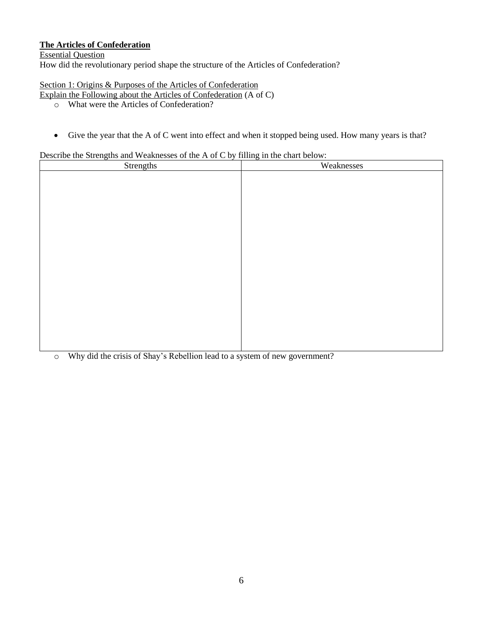# **The Articles of Confederation**

Essential Question How did the revolutionary period shape the structure of the Articles of Confederation?

Section 1: Origins & Purposes of the Articles of Confederation

Explain the Following about the Articles of Confederation (A of C)

- o What were the Articles of Confederation?
- Give the year that the A of C went into effect and when it stopped being used. How many years is that?

#### Describe the Strengths and Weaknesses of the A of C by filling in the chart below:

| Strengths | ັ<br>Weaknesses |
|-----------|-----------------|
|           |                 |
|           |                 |
|           |                 |
|           |                 |
|           |                 |
|           |                 |
|           |                 |
|           |                 |
|           |                 |
|           |                 |
|           |                 |
|           |                 |
|           |                 |
|           |                 |
|           |                 |
|           |                 |

o Why did the crisis of Shay's Rebellion lead to a system of new government?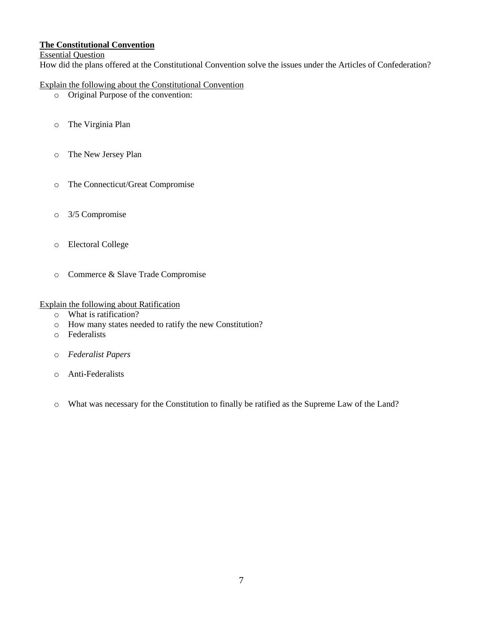# **The Constitutional Convention**

Essential Question

How did the plans offered at the Constitutional Convention solve the issues under the Articles of Confederation?

Explain the following about the Constitutional Convention

- o Original Purpose of the convention:
- o The Virginia Plan
- o The New Jersey Plan
- o The Connecticut/Great Compromise
- o 3/5 Compromise
- o Electoral College
- o Commerce & Slave Trade Compromise

#### Explain the following about Ratification

- o What is ratification?
- o How many states needed to ratify the new Constitution?
- o Federalists
- o *Federalist Papers*
- o Anti-Federalists
- o What was necessary for the Constitution to finally be ratified as the Supreme Law of the Land?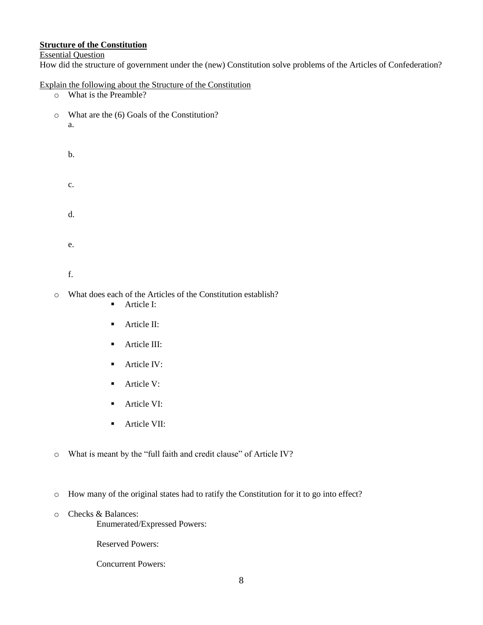## **Structure of the Constitution**

Essential Question

How did the structure of government under the (new) Constitution solve problems of the Articles of Confederation?

Explain the following about the Structure of the Constitution

- o What is the Preamble?
- o What are the (6) Goals of the Constitution? a.

b. c. d. e.

f.

- o What does each of the Articles of the Constitution establish?
	- **Article I:**
	- **Article II:**
	- **Article III:**
	- **Article IV:**
	- Article V:
	- **Article VI:**
	- **Article VII:**
- o What is meant by the "full faith and credit clause" of Article IV?
- o How many of the original states had to ratify the Constitution for it to go into effect?
- o Checks & Balances:

Enumerated/Expressed Powers:

Reserved Powers:

Concurrent Powers: